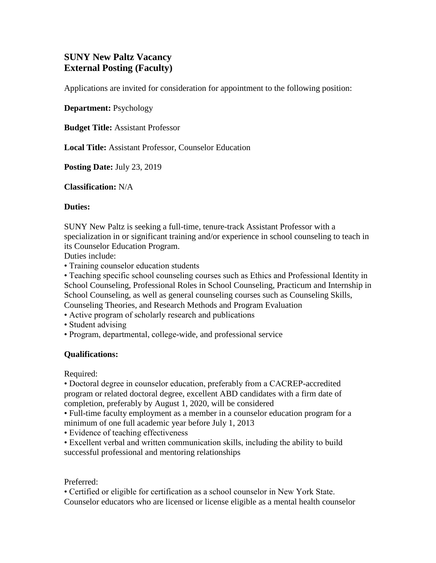# **SUNY New Paltz Vacancy External Posting (Faculty)**

Applications are invited for consideration for appointment to the following position:

**Department:** Psychology

**Budget Title:** Assistant Professor

**Local Title:** Assistant Professor, Counselor Education

**Posting Date:** July 23, 2019

**Classification:** N/A

#### **Duties:**

SUNY New Paltz is seeking a full-time, tenure-track Assistant Professor with a specialization in or significant training and/or experience in school counseling to teach in its Counselor Education Program.

Duties include:

• Training counselor education students

• Teaching specific school counseling courses such as Ethics and Professional Identity in School Counseling, Professional Roles in School Counseling, Practicum and Internship in School Counseling, as well as general counseling courses such as Counseling Skills,

Counseling Theories, and Research Methods and Program Evaluation

- Active program of scholarly research and publications
- Student advising
- Program, departmental, college-wide, and professional service

### **Qualifications:**

Required:

• Doctoral degree in counselor education, preferably from a CACREP-accredited program or related doctoral degree, excellent ABD candidates with a firm date of completion, preferably by August 1, 2020, will be considered

• Full-time faculty employment as a member in a counselor education program for a minimum of one full academic year before July 1, 2013

• Evidence of teaching effectiveness

• Excellent verbal and written communication skills, including the ability to build successful professional and mentoring relationships

### Preferred:

• Certified or eligible for certification as a school counselor in New York State. Counselor educators who are licensed or license eligible as a mental health counselor